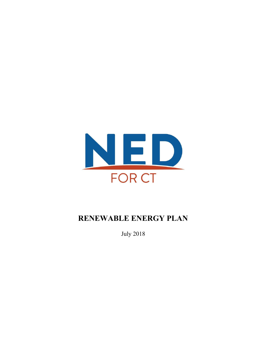

# **RENEWABLE ENERGY PLAN**

July 2018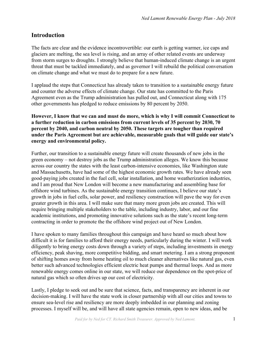# **Introduction**

The facts are clear and the evidence incontrovertible: our earth is getting warmer, ice caps and glaciers are melting, the sea level is rising, and an array of other related events are underway from storm surges to droughts. I strongly believe that human-induced climate change is an urgent threat that must be tackled immediately, and as governor I will rebuild the political conversation on climate change and what we must do to prepare for a new future.

I applaud the steps that Connecticut has already taken to transition to a sustainable energy future and counter the adverse effects of climate change. Our state has committed to the Paris Agreement even as the Trump administration has pulled out, and Connecticut along with 175 other governments has pledged to reduce emissions by 80 percent by 2050.

**However, I know that we can and must do more, which is why I will commit Connecticut to a further reduction in carbon emissions from current levels of 35 percent by 2030, 70 percent by 2040, and carbon neutral by 2050. These targets are tougher than required under the Paris Agreement but are achievable, measurable goals that will guide our state's energy and environmental policy.**

Further, our transition to a sustainable energy future will create thousands of new jobs in the green economy – not destroy jobs as the Trump administration alleges. We know this because across our country the states with the least carbon-intensive economies, like Washington state and Massachusetts, have had some of the highest economic growth rates. We have already seen good-paying jobs created in the fuel cell, solar installation, and home weatherization industries, and I am proud that New London will become a new manufacturing and assembling base for offshore wind turbines. As the sustainable energy transition continues, I believe our state's growth in jobs in fuel cells, solar power, and resiliency construction will pave the way for even greater growth in this area. I will make sure that many more green jobs are created. This will require bringing multiple stakeholders to the table, including industry, labor, and our fine academic institutions, and promoting innovative solutions such as the state's recent long-term contracting in order to promote the the offshore wind project out of New London.

I have spoken to many families throughout this campaign and have heard so much about how difficult it is for families to afford their energy needs, particularly during the winter. I will work diligently to bring energy costs down through a variety of steps, including investments in energy efficiency, peak shaving, more competitive bidding, and smart metering. I am a strong proponent of shifting homes away from home heating oil to much cleaner alternatives like natural gas, even better such advanced technologies efficient electric heat pumps and thermal loops. And as more renewable energy comes online in our state, we will reduce our dependence on the spot-price of natural gas which so often drives up our cost of electricity.

Lastly, I pledge to seek out and be sure that science, facts, and transparency are inherent in our decision-making. I will have the state work in closer partnership with all our cities and towns to ensure sea-level rise and resiliency are more deeply imbedded in our planning and zoning processes. I myself will be, and will have all state agencies remain, open to new ideas, and be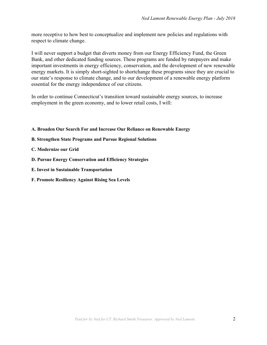more receptive to how best to conceptualize and implement new policies and regulations with respect to climate change.

I will never support a budget that diverts money from our Energy Efficiency Fund, the Green Bank, and other dedicated funding sources. These programs are funded by ratepayers and make important investments in energy efficiency, conservation, and the development of new renewable energy markets. It is simply short-sighted to shortchange these programs since they are crucial to our state's response to climate change, and to our development of a renewable energy platform essential for the energy independence of our citizens.

In order to continue Connecticut's transition toward sustainable energy sources, to increase employment in the green economy, and to lower retail costs, I will:

- **A. Broaden Our Search For and Increase Our Reliance on [Renewable](#page-3-0) Energy**
- **B. [Strengthen](#page-3-1) State Programs and Pursue Regional Solutions**
- **C. [Modernize](#page-4-0) our Grid**
- **D. Pursue Energy Conservation and Efficiency Strategies**
- **E. Invest in Sustainable Transportation**
- **F. Promote [Resiliency](#page-5-0) Against Rising Sea Levels**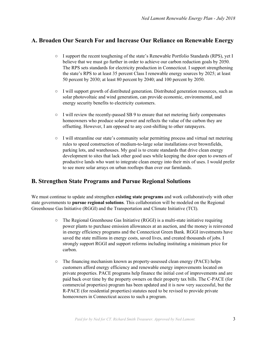### <span id="page-3-0"></span>**A. Broaden Our Search For and Increase Our Reliance on Renewable Energy**

- I support the recent toughening of the state's Renewable Portfolio Standards (RPS), yet I believe that we must go further in order to achieve our carbon reduction goals by 2050. The RPS sets standards for electricity production in Connecticut. I support strengthening the state's RPS to at least 35 percent Class I renewable energy sources by 2025; at least 50 percent by 2030; at least 80 percent by 2040; and 100 percent by 2050.
- I will support growth of distributed generation. Distributed generation resources, such as solar photovoltaic and wind generation, can provide economic, environmental, and energy security benefits to electricity customers.
- $\circ$  I will review the recently-passed SB 9 to ensure that net metering fairly compensates homeowners who produce solar power and reflects the value of the carbon they are offsetting. However, I am opposed to any cost-shifting to other ratepayers.
- I will streamline our state's community solar permitting process and virtual net metering rules to speed construction of medium-to-large solar installations over brownfields, parking lots, and warehouses. My goal is to create standards that drive clean energy development to sites that lack other good uses while keeping the door open to owners of productive lands who want to integrate clean energy into their mix of uses. I would prefer to see more solar arrays on urban rooftops than over our farmlands.

#### <span id="page-3-1"></span>**B. Strengthen State Programs and Pursue Regional Solutions**

We must continue to update and strengthen **existing state programs** and work collaboratively with other state governments to **pursue regional solutions**. This collaboration will be modeled on the Regional Greenhouse Gas Initiative (RGGI) and the Transportation and Climate Initiative (TCI).

- The Regional Greenhouse Gas Initiative (RGGI) is a multi-state initiative requiring power plants to purchase emission allowances at an auction, and the money is reinvested in energy efficiency programs and the Connecticut Green Bank. RGGI investments have saved the state millions in energy costs, saved lives, and created thousands of jobs. I strongly support RGGI and support reforms including instituting a minimum price for carbon.
- $\circ$  The financing mechanism known as property-assessed clean energy (PACE) helps customers afford energy efficiency and renewable energy improvements located on private properties. PACE programs help finance the initial cost of improvements and are paid back over time by the property owners on their property tax bills. The C-PACE (for commercial properties) program has been updated and it is now very successful, but the R-PACE (for residential properties) statutes need to be revised to provide private homeowners in Connecticut access to such a program.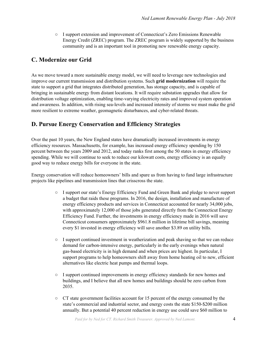○ I support extension and improvement of Connecticut's Zero Emissions Renewable Energy Credit (ZREC) program. The ZREC program is widely supported by the business community and is an important tool in promoting new renewable energy capacity.

#### <span id="page-4-0"></span>**C. Modernize our Grid**

As we move toward a more sustainable energy model, we will need to leverage new technologies and improve our current transmission and distribution systems. Such **grid modernization** will require the state to support a grid that integrates distributed generation, has storage capacity, and is capable of bringing in sustainable energy from distant locations. It will require substation upgrades that allow for distribution voltage optimization, enabling time-varying electricity rates and improved system operation and awareness. In addition, with rising sea-levels and increased intensity of storms we must make the grid more resilient to extreme weather, geomagnetic disturbances, and cyber-related threats.

## **D. Pursue Energy Conservation and Efficiency Strategies**

Over the past 10 years, the New England states have dramatically increased investments in energy efficiency resources. Massachusetts, for example, has increased energy efficiency spending by 150 percent between the years 2009 and 2012, and today ranks first among the 50 states in energy efficiency spending. While we will continue to seek to reduce our kilowatt costs, energy efficiency is an equally good way to reduce energy bills for everyone in the state.

Energy conservation will reduce homeowners' bills and spare us from having to fund large infrastructure projects like pipelines and transmission lines that crisscross the state.

- I support our state's Energy Efficiency Fund and Green Bank and pledge to never support a budget that raids these programs. In 2016, the design, installation and manufacture of energy efficiency products and services in Connecticut accounted for nearly 34,000 jobs, with approximately 12,000 of those jobs generated directly from the Connecticut Energy Efficiency Fund. Further, the investments in energy efficiency made in 2016 will save Connecticut consumers approximately \$961.8 million in lifetime bill savings, meaning every \$1 invested in energy efficiency will save another \$3.89 on utility bills.
- I support continued investment in weatherization and peak shaving so that we can reduce demand for carbon-intensive energy, particularly in the early evenings when natural gas-based electricity is in high demand and when prices are highest. In particular, I support programs to help homeowners shift away from home heating oil to new, efficient alternatives like electric heat pumps and thermal loops.
- I support continued improvements in energy efficiency standards for new homes and buildings, and I believe that all new homes and buildings should be zero carbon from 2035.
- CT state government facilities account for 15 percent of the energy consumed by the state's commercial and industrial sector, and energy costs the state \$150-\$200 million annually. But a potential 40 percent reduction in energy use could save \$60 million to